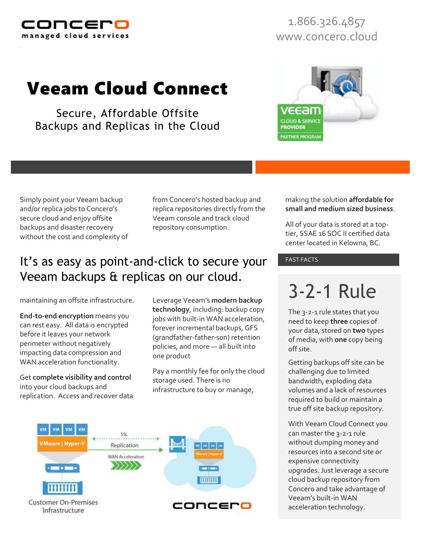

1.866.326.4857 www.concero.cloud

## Veeam Cloud Connect

Secure, Affordable Offsite Backups and Replicas in the Cloud

> making the solution **affordable for small and medium sized business**.

All of your data is stored at a toptier, SSAE 16 SOC II certified data center located in Kelowna, BC.

# 3-2-1 Rule

The 3-2-1 rule states that you need to keep **three** copies of your data, stored on **two** types of media, with **one** copy being off site.

Getting backups off site can be challenging due to limited bandwidth, exploding data volumes and a lack of resources required to build or maintain a true off site backup repository.

With Veeam Cloud Connect you can master the 3-2-1 rule without dumping money and resources into a second site or expensive connectivity upgrades. Just leverage a secure cloud backup repository from Concero and take advantage of Veeam's built-in WAN acceleration technology.

Simply point your Veeam backup and/or replica jobs to Concero's secure cloud and enjoy offsite backups and disaster recovery without the cost and complexity of from Concero's hosted backup and replica repositories directly from the Veeam console and track cloud repository consumption.

### It's as easy as point-and-click to secure your FAST FACTS Veeam backups & replicas on our cloud.

maintaining an offsite infrastructure.

**End-to-end encryption** means you can rest easy. All data is encrypted before it leaves your network perimeter without negatively impacting data compression and WAN acceleration functionality.

Get **complete visibility and control** into your cloud backups and replication. Access and recover data

Leverage Veeam's **modern backup technology**, including: backup copy jobs with built-in WAN acceleration, forever incremental backups, GFS (grandfather-father-son) retention policies, and more — all built into one product

Pay a monthly fee for only the cloud storage used. There is no infrastructure to buy or manage,